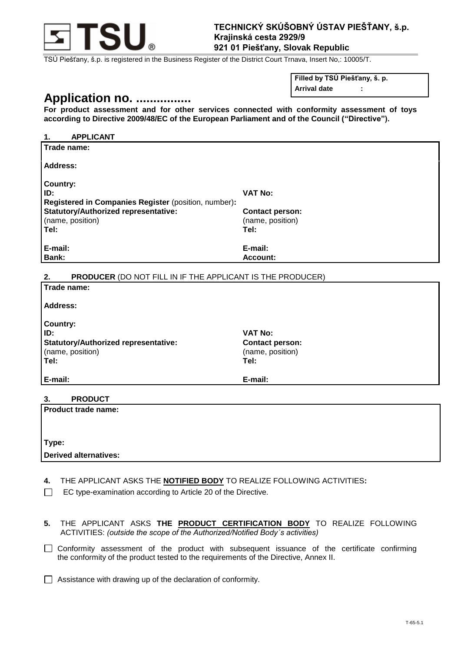

TSÚ Piešťany, š.p. is registered in the Business Register of the District Court Trnava, Insert No,: 10005/T.

# **Application no. ................**

**Filled by TSÚ Piešťany, š. p.**

**Arrival date :**

**For product assessment and for other services connected with conformity assessment of toys according to Directive 2009/48/EC of the European Parliament and of the Council ("Directive").** 

| 1.<br><b>APPLICANT</b>                                                  |                        |
|-------------------------------------------------------------------------|------------------------|
| Trade name:                                                             |                        |
| Address:                                                                |                        |
| <b>Country:</b>                                                         |                        |
| ID:                                                                     | <b>VAT No:</b>         |
| Registered in Companies Register (position, number):                    |                        |
| <b>Statutory/Authorized representative:</b>                             | <b>Contact person:</b> |
| (name, position)                                                        | (name, position)       |
| Tel:                                                                    | Tel:                   |
| E-mail:                                                                 | E-mail:                |
| <b>Bank:</b>                                                            | Account:               |
|                                                                         |                        |
| <b>PRODUCER (DO NOT FILL IN IF THE APPLICANT IS THE PRODUCER)</b><br>2. |                        |
| Trade name:                                                             |                        |
| <b>Address:</b>                                                         |                        |

**Country: ID: VAT No: Statutory/Authorized representative:**  (name, position) **Tel: Tel:** 

**Contact person:**  (name, position)

**E-mail: E-mail:**

#### **3. PRODUCT**

| <b>Product trade name:</b>   |  |
|------------------------------|--|
|                              |  |
| Type:                        |  |
| <b>Derived alternatives:</b> |  |

**4.** THE APPLICANT ASKS THE **NOTIFIED BODY** TO REALIZE FOLLOWING ACTIVITIES**:**

EC type-examination according to Article 20 of the Directive.  $\Box$ 

**5.** THE APPLICANT ASKS **THE PRODUCT CERTIFICATION BODY** TO REALIZE FOLLOWING ACTIVITIES: *(outside the scope of the Authorized/Notified Body´s activities)*

Conformity assessment of the product with subsequent issuance of the certificate confirming the conformity of the product tested to the requirements of the Directive, Annex II.

 $\Box$  Assistance with drawing up of the declaration of conformity.